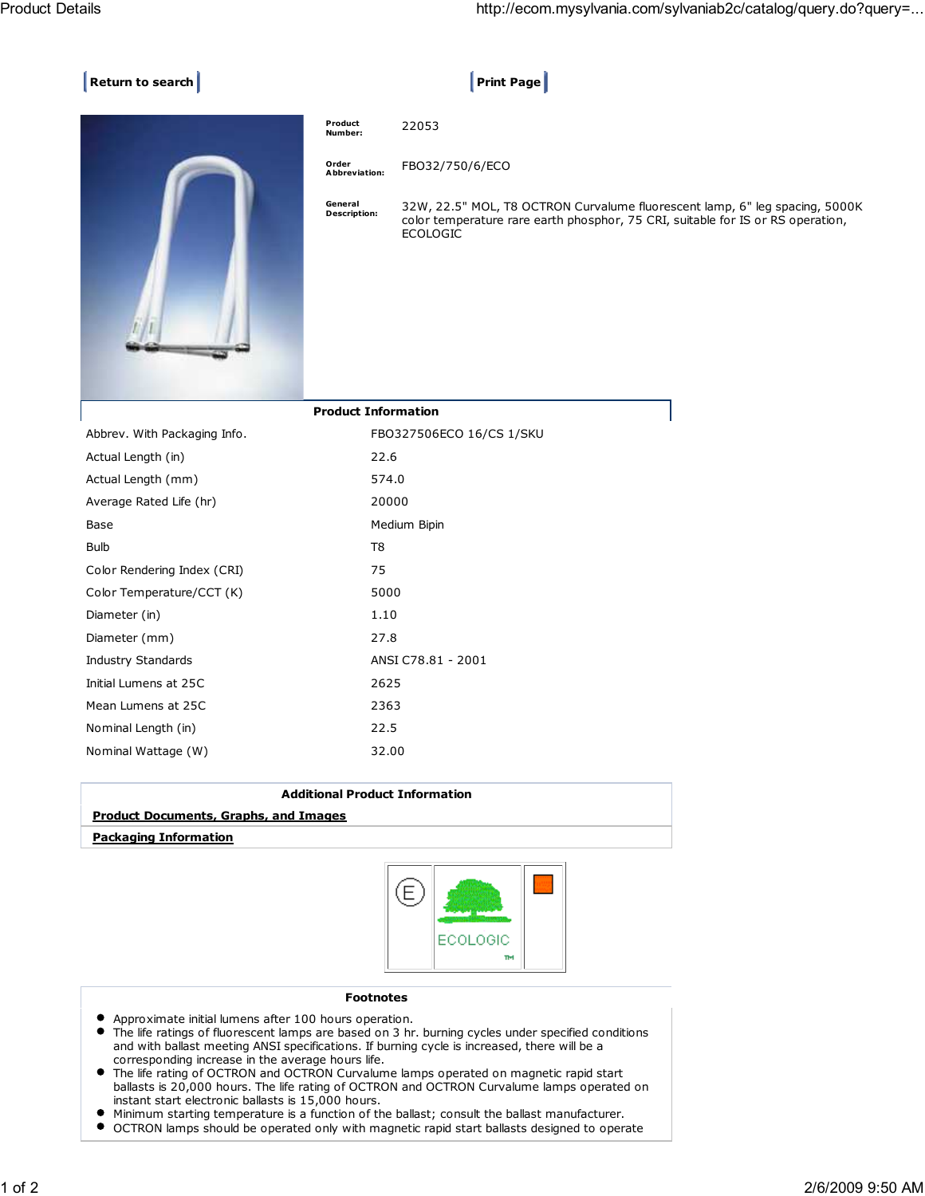## **Return to search Print Page 2**



| Product<br>Number:             | 22053                                                                                                                                                                             |
|--------------------------------|-----------------------------------------------------------------------------------------------------------------------------------------------------------------------------------|
| Order<br>Abbreviation:         | FBO32/750/6/ECO                                                                                                                                                                   |
| General<br><b>Description:</b> | 32W, 22.5" MOL, T8 OCTRON Curvalume fluorescent lamp, 6" leg spacing, 5000K<br>color temperature rare earth phosphor, 75 CRI, suitable for IS or RS operation,<br><b>ECOLOGIC</b> |

|                              | <b>Product Information</b> |
|------------------------------|----------------------------|
| Abbrev. With Packaging Info. | FBO327506ECO 16/CS 1/SKU   |
| Actual Length (in)           | 22.6                       |
| Actual Length (mm)           | 574.0                      |
| Average Rated Life (hr)      | 20000                      |
| Base                         | Medium Bipin               |
| <b>Bulb</b>                  | T8                         |
| Color Rendering Index (CRI)  | 75                         |
| Color Temperature/CCT (K)    | 5000                       |
| Diameter (in)                | 1.10                       |
| Diameter (mm)                | 27.8                       |
| Industry Standards           | ANSI C78.81 - 2001         |
| Initial Lumens at 25C        | 2625                       |
| Mean Lumens at 25C           | 2363                       |
| Nominal Length (in)          | 22.5                       |
| Nominal Wattage (W)          | 32.00                      |
|                              |                            |

| <b>Additional Product Information</b>        |  |  |
|----------------------------------------------|--|--|
| <b>Product Documents, Graphs, and Images</b> |  |  |
| Packaging Information                        |  |  |



## Footnotes

- Approximate initial lumens after 100 hours operation.
- The life ratings of fluorescent lamps are based on 3 hr. burning cycles under specified conditions and with ballast meeting ANSI specifications. If burning cycle is increased, there will be a corresponding increase in the average hours life.
- $\bullet$ The life rating of OCTRON and OCTRON Curvalume lamps operated on magnetic rapid start ballasts is 20,000 hours. The life rating of OCTRON and OCTRON Curvalume lamps operated on instant start electronic ballasts is 15,000 hours.
- Minimum starting temperature is a function of the ballast; consult the ballast manufacturer.
- $\bullet$ OCTRON lamps should be operated only with magnetic rapid start ballasts designed to operate